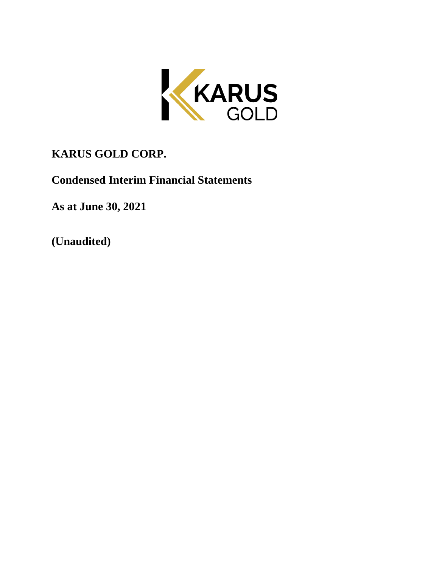

# **KARUS GOLD CORP.**

**Condensed Interim Financial Statements**

**As at June 30, 2021**

**(Unaudited)**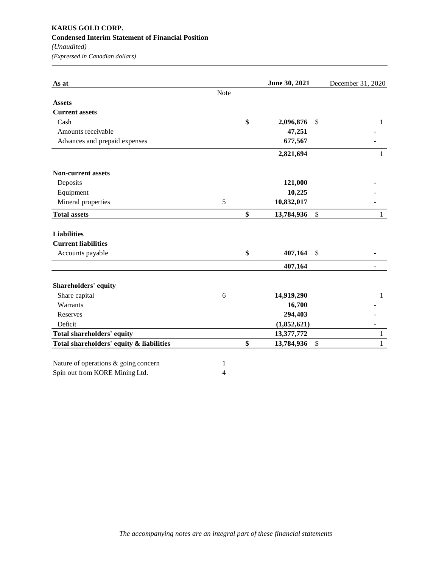# **KARUS GOLD CORP. Condensed Interim Statement of Financial Position** *(Unaudited)*

*(Expressed in Canadian dollars)*

| As at                                    |      | June 30, 2021    | December 31, 2020  |
|------------------------------------------|------|------------------|--------------------|
|                                          | Note |                  |                    |
| <b>Assets</b>                            |      |                  |                    |
| <b>Current assets</b>                    |      |                  |                    |
| Cash                                     |      | \$<br>2,096,876  | \$<br>1            |
| Amounts receivable                       |      | 47,251           |                    |
| Advances and prepaid expenses            |      | 677,567          |                    |
|                                          |      | 2,821,694        | 1                  |
| <b>Non-current assets</b>                |      |                  |                    |
| Deposits                                 |      | 121,000          |                    |
| Equipment                                |      | 10,225           |                    |
| Mineral properties                       | 5    | 10,832,017       |                    |
| <b>Total assets</b>                      |      | \$<br>13,784,936 | \$<br>1            |
| <b>Liabilities</b>                       |      |                  |                    |
| <b>Current liabilities</b>               |      |                  |                    |
| Accounts payable                         |      | \$<br>407,164    | \$                 |
|                                          |      | 407,164          | -                  |
| Shareholders' equity                     |      |                  |                    |
| Share capital                            | 6    | 14,919,290       | 1                  |
| Warrants                                 |      | 16,700           |                    |
| Reserves                                 |      | 294,403          |                    |
| Deficit                                  |      | (1,852,621)      |                    |
| <b>Total shareholders' equity</b>        |      | 13,377,772       | $\mathbf{1}$       |
| Total shareholders' equity & liabilities |      | \$<br>13,784,936 | \$<br>$\mathbf{1}$ |
| Nature of operations & going concern     | 1    |                  |                    |
| Spin out from KORE Mining Ltd.           | 4    |                  |                    |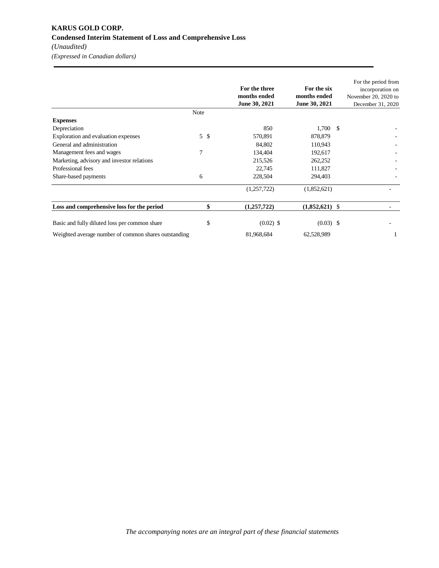## **KARUS GOLD CORP. Condensed Interim Statement of Loss and Comprehensive Loss** *(Unaudited)*

*(Expressed in Canadian dollars)*

|                                                      |      | For the three<br>months ended<br>June 30, 2021 | For the six<br>months ended<br>June 30, 2021 |    | For the period from<br>incorporation on<br>November 20, 2020 to<br>December 31, 2020 |
|------------------------------------------------------|------|------------------------------------------------|----------------------------------------------|----|--------------------------------------------------------------------------------------|
|                                                      | Note |                                                |                                              |    |                                                                                      |
| <b>Expenses</b>                                      |      |                                                |                                              |    |                                                                                      |
| Depreciation                                         |      | 850                                            | 1,700                                        | -S |                                                                                      |
| Exploration and evaluation expenses                  | 5S   | 570,891                                        | 878,879                                      |    |                                                                                      |
| General and administration                           |      | 84,802                                         | 110,943                                      |    |                                                                                      |
| Management fees and wages                            | 7    | 134,404                                        | 192,617                                      |    |                                                                                      |
| Marketing, advisory and investor relations           |      | 215,526                                        | 262,252                                      |    |                                                                                      |
| Professional fees                                    |      | 22,745                                         | 111,827                                      |    |                                                                                      |
| Share-based payments                                 | 6    | 228,504                                        | 294,403                                      |    |                                                                                      |
|                                                      |      | (1,257,722)                                    | (1,852,621)                                  |    |                                                                                      |
| Loss and comprehensive loss for the period           | \$   | (1,257,722)                                    | $(1,852,621)$ \$                             |    |                                                                                      |
| Basic and fully diluted loss per common share        | \$   | $(0.02)$ \$                                    | $(0.03)$ \$                                  |    |                                                                                      |
| Weighted average number of common shares outstanding |      | 81,968,684                                     | 62,528,989                                   |    |                                                                                      |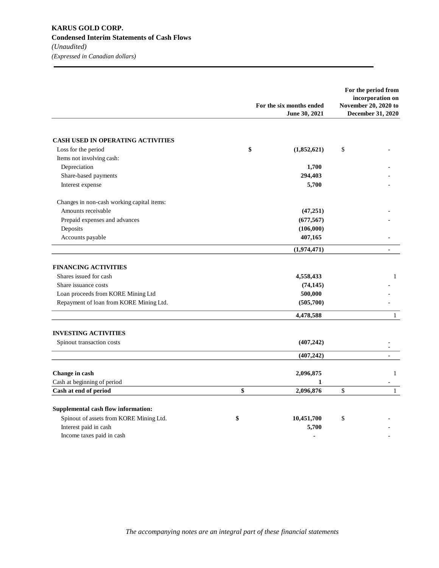|                                            | For the six months ended | For the period from<br>incorporation on<br>November 20, 2020 to |
|--------------------------------------------|--------------------------|-----------------------------------------------------------------|
|                                            | June 30, 2021            | December 31, 2020                                               |
| <b>CASH USED IN OPERATING ACTIVITIES</b>   |                          |                                                                 |
| Loss for the period                        | \$<br>(1,852,621)        | \$                                                              |
| Items not involving cash:                  |                          |                                                                 |
| Depreciation                               | 1,700                    |                                                                 |
| Share-based payments                       | 294,403                  |                                                                 |
| Interest expense                           | 5,700                    |                                                                 |
| Changes in non-cash working capital items: |                          |                                                                 |
| Amounts receivable                         | (47, 251)                |                                                                 |
| Prepaid expenses and advances              | (677, 567)               |                                                                 |
| Deposits                                   | (106,000)                |                                                                 |
| Accounts payable                           | 407,165                  |                                                                 |
|                                            | (1,974,471)              | $\overline{a}$                                                  |
| <b>FINANCING ACTIVITIES</b>                |                          |                                                                 |
| Shares issued for cash                     | 4,558,433                | $\mathbf{1}$                                                    |
| Share issuance costs                       | (74, 145)                |                                                                 |
| Loan proceeds from KORE Mining Ltd         | 500,000                  |                                                                 |
| Repayment of loan from KORE Mining Ltd.    | (505,700)                |                                                                 |
|                                            | 4,478,588                | $\mathbf{1}$                                                    |
| <b>INVESTING ACTIVITIES</b>                |                          |                                                                 |
| Spinout transaction costs                  | (407, 242)               | $\overline{\phantom{a}}$                                        |
|                                            | (407, 242)               | $\frac{1}{2}$                                                   |
| Change in cash                             | 2,096,875                | $\mathbf{1}$                                                    |
| Cash at beginning of period                | 1                        |                                                                 |
| Cash at end of period                      | \$<br>2,096,876          | \$<br>$\mathbf{1}$                                              |
| Supplemental cash flow information:        |                          |                                                                 |
| Spinout of assets from KORE Mining Ltd.    | \$<br>10,451,700         | \$                                                              |
| Interest paid in cash                      | 5,700                    |                                                                 |
| Income taxes paid in cash                  | $\overline{a}$           |                                                                 |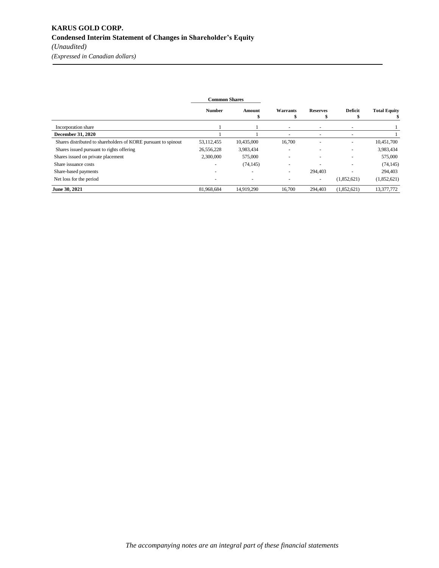|                                                                | <b>Common Shares</b> |                          |                          |                          |                          |                     |
|----------------------------------------------------------------|----------------------|--------------------------|--------------------------|--------------------------|--------------------------|---------------------|
|                                                                | <b>Number</b>        | Amount<br>\$             | Warrants                 | <b>Reserves</b>          | <b>Deficit</b>           | <b>Total Equity</b> |
| Incorporation share                                            |                      |                          |                          |                          |                          |                     |
| <b>December 31, 2020</b>                                       |                      |                          | $\overline{\phantom{a}}$ | -                        | $\overline{\phantom{a}}$ |                     |
| Shares distributed to shareholders of KORE pursuant to spinout | 53,112,455           | 10,435,000               | 16,700                   | $\overline{\phantom{a}}$ | $\overline{\phantom{a}}$ | 10,451,700          |
| Shares issued pursuant to rights offering                      | 26,556,228           | 3,983,434                |                          |                          | $\overline{\phantom{a}}$ | 3,983,434           |
| Shares issued on private placement                             | 2,300,000            | 575,000                  |                          |                          |                          | 575,000             |
| Share issuance costs                                           |                      | (74, 145)                | -                        |                          | ٠                        | (74, 145)           |
| Share-based payments                                           |                      | $\overline{\phantom{a}}$ | $\overline{\phantom{a}}$ | 294,403                  | $\overline{\phantom{a}}$ | 294,403             |
| Net loss for the period                                        |                      | $\overline{\phantom{a}}$ |                          | $\overline{\phantom{a}}$ | (1,852,621)              | (1,852,621)         |
| June 30, 2021                                                  | 81,968,684           | 14,919.290               | 16.700                   | 294,403                  | (1,852,621)              | 13,377,772          |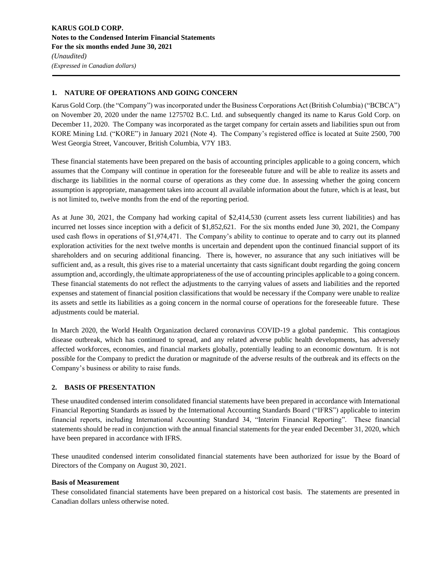### **1. NATURE OF OPERATIONS AND GOING CONCERN**

Karus Gold Corp. (the "Company") was incorporated under the Business Corporations Act (British Columbia) ("BCBCA") on November 20, 2020 under the name 1275702 B.C. Ltd. and subsequently changed its name to Karus Gold Corp. on December 11, 2020. The Company was incorporated as the target company for certain assets and liabilities spun out from KORE Mining Ltd. ("KORE") in January 2021 (Note 4). The Company's registered office is located at Suite 2500, 700 West Georgia Street, Vancouver, British Columbia, V7Y 1B3.

These financial statements have been prepared on the basis of accounting principles applicable to a going concern, which assumes that the Company will continue in operation for the foreseeable future and will be able to realize its assets and discharge its liabilities in the normal course of operations as they come due. In assessing whether the going concern assumption is appropriate, management takes into account all available information about the future, which is at least, but is not limited to, twelve months from the end of the reporting period.

As at June 30, 2021, the Company had working capital of \$2,414,530 (current assets less current liabilities) and has incurred net losses since inception with a deficit of \$1,852,621. For the six months ended June 30, 2021, the Company used cash flows in operations of \$1,974,471. The Company's ability to continue to operate and to carry out its planned exploration activities for the next twelve months is uncertain and dependent upon the continued financial support of its shareholders and on securing additional financing. There is, however, no assurance that any such initiatives will be sufficient and, as a result, this gives rise to a material uncertainty that casts significant doubt regarding the going concern assumption and, accordingly, the ultimate appropriateness of the use of accounting principles applicable to a going concern. These financial statements do not reflect the adjustments to the carrying values of assets and liabilities and the reported expenses and statement of financial position classifications that would be necessary if the Company were unable to realize its assets and settle its liabilities as a going concern in the normal course of operations for the foreseeable future. These adjustments could be material.

In March 2020, the World Health Organization declared coronavirus COVID-19 a global pandemic. This contagious disease outbreak, which has continued to spread, and any related adverse public health developments, has adversely affected workforces, economies, and financial markets globally, potentially leading to an economic downturn. It is not possible for the Company to predict the duration or magnitude of the adverse results of the outbreak and its effects on the Company's business or ability to raise funds.

### **2. BASIS OF PRESENTATION**

These unaudited condensed interim consolidated financial statements have been prepared in accordance with International Financial Reporting Standards as issued by the International Accounting Standards Board ("IFRS") applicable to interim financial reports, including International Accounting Standard 34, "Interim Financial Reporting". These financial statements should be read in conjunction with the annual financial statements for the year ended December 31, 2020, which have been prepared in accordance with IFRS.

These unaudited condensed interim consolidated financial statements have been authorized for issue by the Board of Directors of the Company on August 30, 2021.

### **Basis of Measurement**

These consolidated financial statements have been prepared on a historical cost basis. The statements are presented in Canadian dollars unless otherwise noted.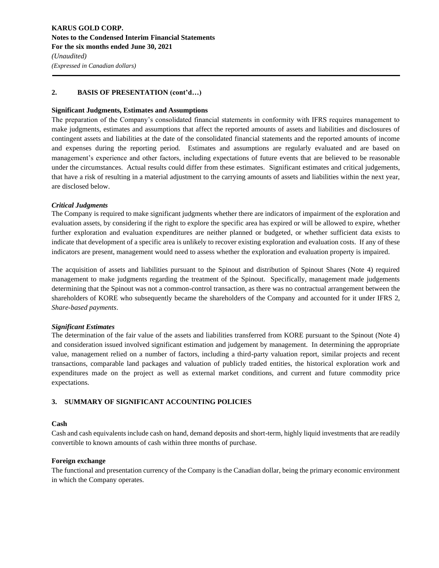### **2. BASIS OF PRESENTATION (cont'd…)**

### **Significant Judgments, Estimates and Assumptions**

The preparation of the Company's consolidated financial statements in conformity with IFRS requires management to make judgments, estimates and assumptions that affect the reported amounts of assets and liabilities and disclosures of contingent assets and liabilities at the date of the consolidated financial statements and the reported amounts of income and expenses during the reporting period. Estimates and assumptions are regularly evaluated and are based on management's experience and other factors, including expectations of future events that are believed to be reasonable under the circumstances. Actual results could differ from these estimates. Significant estimates and critical judgements, that have a risk of resulting in a material adjustment to the carrying amounts of assets and liabilities within the next year, are disclosed below.

### *Critical Judgments*

The Company is required to make significant judgments whether there are indicators of impairment of the exploration and evaluation assets, by considering if the right to explore the specific area has expired or will be allowed to expire, whether further exploration and evaluation expenditures are neither planned or budgeted, or whether sufficient data exists to indicate that development of a specific area is unlikely to recover existing exploration and evaluation costs. If any of these indicators are present, management would need to assess whether the exploration and evaluation property is impaired.

The acquisition of assets and liabilities pursuant to the Spinout and distribution of Spinout Shares (Note 4) required management to make judgments regarding the treatment of the Spinout. Specifically, management made judgements determining that the Spinout was not a common-control transaction, as there was no contractual arrangement between the shareholders of KORE who subsequently became the shareholders of the Company and accounted for it under IFRS 2, *Share-based payments*.

### *Significant Estimates*

The determination of the fair value of the assets and liabilities transferred from KORE pursuant to the Spinout (Note 4) and consideration issued involved significant estimation and judgement by management. In determining the appropriate value, management relied on a number of factors, including a third-party valuation report, similar projects and recent transactions, comparable land packages and valuation of publicly traded entities, the historical exploration work and expenditures made on the project as well as external market conditions, and current and future commodity price expectations.

### **3. SUMMARY OF SIGNIFICANT ACCOUNTING POLICIES**

### **Cash**

Cash and cash equivalents include cash on hand, demand deposits and short-term, highly liquid investments that are readily convertible to known amounts of cash within three months of purchase.

### **Foreign exchange**

The functional and presentation currency of the Company is the Canadian dollar, being the primary economic environment in which the Company operates.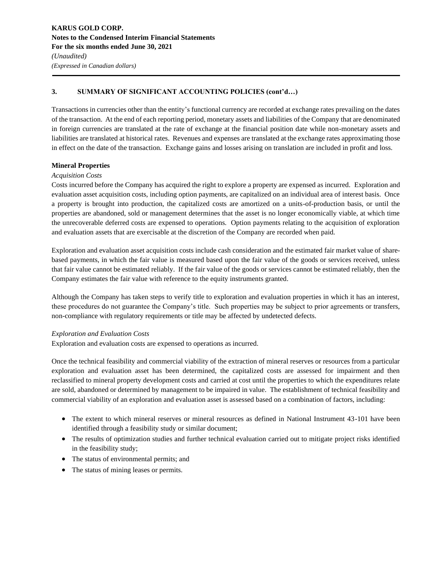Transactions in currencies other than the entity's functional currency are recorded at exchange rates prevailing on the dates of the transaction. At the end of each reporting period, monetary assets and liabilities of the Company that are denominated in foreign currencies are translated at the rate of exchange at the financial position date while non-monetary assets and liabilities are translated at historical rates. Revenues and expenses are translated at the exchange rates approximating those in effect on the date of the transaction. Exchange gains and losses arising on translation are included in profit and loss.

### **Mineral Properties**

### *Acquisition Costs*

Costs incurred before the Company has acquired the right to explore a property are expensed as incurred. Exploration and evaluation asset acquisition costs, including option payments, are capitalized on an individual area of interest basis. Once a property is brought into production, the capitalized costs are amortized on a units-of-production basis, or until the properties are abandoned, sold or management determines that the asset is no longer economically viable, at which time the unrecoverable deferred costs are expensed to operations. Option payments relating to the acquisition of exploration and evaluation assets that are exercisable at the discretion of the Company are recorded when paid.

Exploration and evaluation asset acquisition costs include cash consideration and the estimated fair market value of sharebased payments, in which the fair value is measured based upon the fair value of the goods or services received, unless that fair value cannot be estimated reliably. If the fair value of the goods or services cannot be estimated reliably, then the Company estimates the fair value with reference to the equity instruments granted.

Although the Company has taken steps to verify title to exploration and evaluation properties in which it has an interest, these procedures do not guarantee the Company's title. Such properties may be subject to prior agreements or transfers, non-compliance with regulatory requirements or title may be affected by undetected defects.

### *Exploration and Evaluation Costs*

Exploration and evaluation costs are expensed to operations as incurred.

Once the technical feasibility and commercial viability of the extraction of mineral reserves or resources from a particular exploration and evaluation asset has been determined, the capitalized costs are assessed for impairment and then reclassified to mineral property development costs and carried at cost until the properties to which the expenditures relate are sold, abandoned or determined by management to be impaired in value. The establishment of technical feasibility and commercial viability of an exploration and evaluation asset is assessed based on a combination of factors, including:

- The extent to which mineral reserves or mineral resources as defined in National Instrument 43-101 have been identified through a feasibility study or similar document;
- The results of optimization studies and further technical evaluation carried out to mitigate project risks identified in the feasibility study;
- The status of environmental permits; and
- The status of mining leases or permits.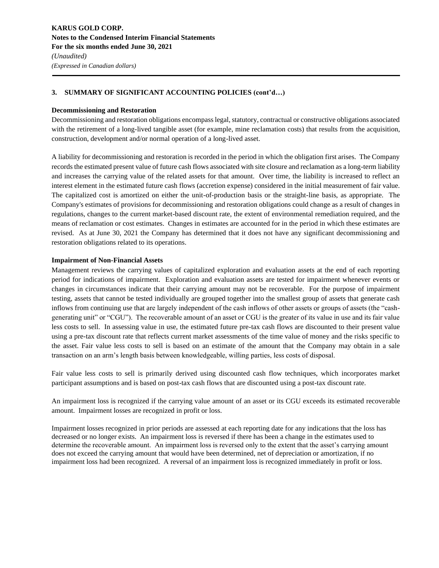### **Decommissioning and Restoration**

Decommissioning and restoration obligations encompass legal, statutory, contractual or constructive obligations associated with the retirement of a long-lived tangible asset (for example, mine reclamation costs) that results from the acquisition, construction, development and/or normal operation of a long-lived asset.

A liability for decommissioning and restoration is recorded in the period in which the obligation first arises. The Company records the estimated present value of future cash flows associated with site closure and reclamation as a long-term liability and increases the carrying value of the related assets for that amount. Over time, the liability is increased to reflect an interest element in the estimated future cash flows (accretion expense) considered in the initial measurement of fair value. The capitalized cost is amortized on either the unit-of-production basis or the straight-line basis, as appropriate. The Company's estimates of provisions for decommissioning and restoration obligations could change as a result of changes in regulations, changes to the current market-based discount rate, the extent of environmental remediation required, and the means of reclamation or cost estimates. Changes in estimates are accounted for in the period in which these estimates are revised. As at June 30, 2021 the Company has determined that it does not have any significant decommissioning and restoration obligations related to its operations.

### **Impairment of Non-Financial Assets**

Management reviews the carrying values of capitalized exploration and evaluation assets at the end of each reporting period for indications of impairment. Exploration and evaluation assets are tested for impairment whenever events or changes in circumstances indicate that their carrying amount may not be recoverable. For the purpose of impairment testing, assets that cannot be tested individually are grouped together into the smallest group of assets that generate cash inflows from continuing use that are largely independent of the cash inflows of other assets or groups of assets (the "cashgenerating unit" or "CGU"). The recoverable amount of an asset or CGU is the greater of its value in use and its fair value less costs to sell. In assessing value in use, the estimated future pre-tax cash flows are discounted to their present value using a pre-tax discount rate that reflects current market assessments of the time value of money and the risks specific to the asset. Fair value less costs to sell is based on an estimate of the amount that the Company may obtain in a sale transaction on an arm's length basis between knowledgeable, willing parties, less costs of disposal.

Fair value less costs to sell is primarily derived using discounted cash flow techniques, which incorporates market participant assumptions and is based on post-tax cash flows that are discounted using a post-tax discount rate.

An impairment loss is recognized if the carrying value amount of an asset or its CGU exceeds its estimated recoverable amount. Impairment losses are recognized in profit or loss.

Impairment losses recognized in prior periods are assessed at each reporting date for any indications that the loss has decreased or no longer exists. An impairment loss is reversed if there has been a change in the estimates used to determine the recoverable amount. An impairment loss is reversed only to the extent that the asset's carrying amount does not exceed the carrying amount that would have been determined, net of depreciation or amortization, if no impairment loss had been recognized. A reversal of an impairment loss is recognized immediately in profit or loss.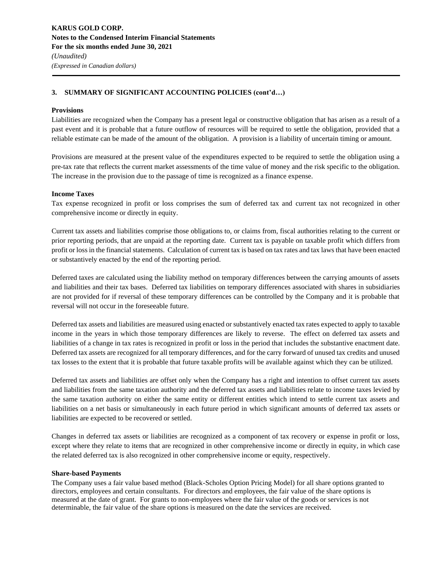### **Provisions**

Liabilities are recognized when the Company has a present legal or constructive obligation that has arisen as a result of a past event and it is probable that a future outflow of resources will be required to settle the obligation, provided that a reliable estimate can be made of the amount of the obligation. A provision is a liability of uncertain timing or amount.

Provisions are measured at the present value of the expenditures expected to be required to settle the obligation using a pre-tax rate that reflects the current market assessments of the time value of money and the risk specific to the obligation. The increase in the provision due to the passage of time is recognized as a finance expense.

### **Income Taxes**

Tax expense recognized in profit or loss comprises the sum of deferred tax and current tax not recognized in other comprehensive income or directly in equity.

Current tax assets and liabilities comprise those obligations to, or claims from, fiscal authorities relating to the current or prior reporting periods, that are unpaid at the reporting date. Current tax is payable on taxable profit which differs from profit or loss in the financial statements. Calculation of current tax is based on tax rates and tax laws that have been enacted or substantively enacted by the end of the reporting period.

Deferred taxes are calculated using the liability method on temporary differences between the carrying amounts of assets and liabilities and their tax bases. Deferred tax liabilities on temporary differences associated with shares in subsidiaries are not provided for if reversal of these temporary differences can be controlled by the Company and it is probable that reversal will not occur in the foreseeable future.

Deferred tax assets and liabilities are measured using enacted or substantively enacted tax rates expected to apply to taxable income in the years in which those temporary differences are likely to reverse. The effect on deferred tax assets and liabilities of a change in tax rates is recognized in profit or loss in the period that includes the substantive enactment date. Deferred tax assets are recognized for all temporary differences, and for the carry forward of unused tax credits and unused tax losses to the extent that it is probable that future taxable profits will be available against which they can be utilized.

Deferred tax assets and liabilities are offset only when the Company has a right and intention to offset current tax assets and liabilities from the same taxation authority and the deferred tax assets and liabilities relate to income taxes levied by the same taxation authority on either the same entity or different entities which intend to settle current tax assets and liabilities on a net basis or simultaneously in each future period in which significant amounts of deferred tax assets or liabilities are expected to be recovered or settled.

Changes in deferred tax assets or liabilities are recognized as a component of tax recovery or expense in profit or loss, except where they relate to items that are recognized in other comprehensive income or directly in equity, in which case the related deferred tax is also recognized in other comprehensive income or equity, respectively.

### **Share-based Payments**

The Company uses a fair value based method (Black-Scholes Option Pricing Model) for all share options granted to directors, employees and certain consultants. For directors and employees, the fair value of the share options is measured at the date of grant. For grants to non-employees where the fair value of the goods or services is not determinable, the fair value of the share options is measured on the date the services are received.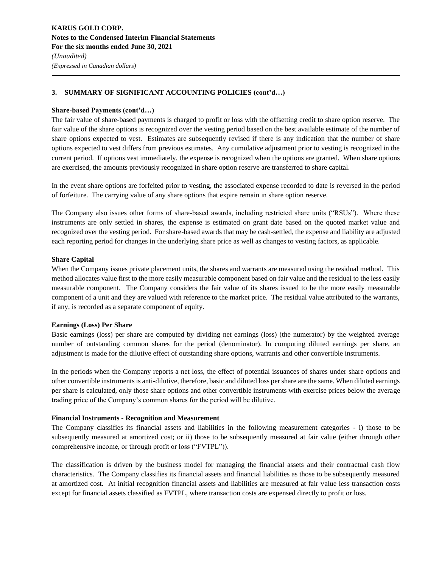### **Share-based Payments (cont'd…)**

The fair value of share-based payments is charged to profit or loss with the offsetting credit to share option reserve. The fair value of the share options is recognized over the vesting period based on the best available estimate of the number of share options expected to vest. Estimates are subsequently revised if there is any indication that the number of share options expected to vest differs from previous estimates. Any cumulative adjustment prior to vesting is recognized in the current period. If options vest immediately, the expense is recognized when the options are granted. When share options are exercised, the amounts previously recognized in share option reserve are transferred to share capital.

In the event share options are forfeited prior to vesting, the associated expense recorded to date is reversed in the period of forfeiture. The carrying value of any share options that expire remain in share option reserve.

The Company also issues other forms of share-based awards, including restricted share units ("RSUs"). Where these instruments are only settled in shares, the expense is estimated on grant date based on the quoted market value and recognized over the vesting period. For share-based awards that may be cash-settled, the expense and liability are adjusted each reporting period for changes in the underlying share price as well as changes to vesting factors, as applicable.

### **Share Capital**

When the Company issues private placement units, the shares and warrants are measured using the residual method. This method allocates value first to the more easily measurable component based on fair value and the residual to the less easily measurable component. The Company considers the fair value of its shares issued to be the more easily measurable component of a unit and they are valued with reference to the market price. The residual value attributed to the warrants, if any, is recorded as a separate component of equity.

### **Earnings (Loss) Per Share**

Basic earnings (loss) per share are computed by dividing net earnings (loss) (the numerator) by the weighted average number of outstanding common shares for the period (denominator). In computing diluted earnings per share, an adjustment is made for the dilutive effect of outstanding share options, warrants and other convertible instruments.

In the periods when the Company reports a net loss, the effect of potential issuances of shares under share options and other convertible instruments is anti-dilutive, therefore, basic and diluted loss per share are the same. When diluted earnings per share is calculated, only those share options and other convertible instruments with exercise prices below the average trading price of the Company's common shares for the period will be dilutive.

### **Financial Instruments - Recognition and Measurement**

The Company classifies its financial assets and liabilities in the following measurement categories - i) those to be subsequently measured at amortized cost; or ii) those to be subsequently measured at fair value (either through other comprehensive income, or through profit or loss ("FVTPL")).

The classification is driven by the business model for managing the financial assets and their contractual cash flow characteristics. The Company classifies its financial assets and financial liabilities as those to be subsequently measured at amortized cost. At initial recognition financial assets and liabilities are measured at fair value less transaction costs except for financial assets classified as FVTPL, where transaction costs are expensed directly to profit or loss.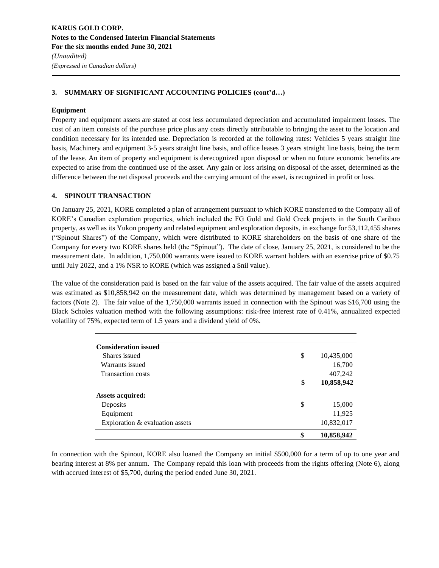### **Equipment**

Property and equipment assets are stated at cost less accumulated depreciation and accumulated impairment losses. The cost of an item consists of the purchase price plus any costs directly attributable to bringing the asset to the location and condition necessary for its intended use. Depreciation is recorded at the following rates: Vehicles 5 years straight line basis, Machinery and equipment 3-5 years straight line basis, and office leases 3 years straight line basis, being the term of the lease. An item of property and equipment is derecognized upon disposal or when no future economic benefits are expected to arise from the continued use of the asset. Any gain or loss arising on disposal of the asset, determined as the difference between the net disposal proceeds and the carrying amount of the asset, is recognized in profit or loss.

### **4. SPINOUT TRANSACTION**

On January 25, 2021, KORE completed a plan of arrangement pursuant to which KORE transferred to the Company all of KORE's Canadian exploration properties, which included the FG Gold and Gold Creek projects in the South Cariboo property, as well as its Yukon property and related equipment and exploration deposits, in exchange for 53,112,455 shares ("Spinout Shares") of the Company, which were distributed to KORE shareholders on the basis of one share of the Company for every two KORE shares held (the "Spinout"). The date of close, January 25, 2021, is considered to be the measurement date. In addition, 1,750,000 warrants were issued to KORE warrant holders with an exercise price of \$0.75 until July 2022, and a 1% NSR to KORE (which was assigned a \$nil value).

The value of the consideration paid is based on the fair value of the assets acquired. The fair value of the assets acquired was estimated as \$10,858,942 on the measurement date, which was determined by management based on a variety of factors (Note 2). The fair value of the 1,750,000 warrants issued in connection with the Spinout was \$16,700 using the Black Scholes valuation method with the following assumptions: risk-free interest rate of 0.41%, annualized expected volatility of 75%, expected term of 1.5 years and a dividend yield of 0%.

|                                 | \$<br>10,858,942 |
|---------------------------------|------------------|
| Exploration & evaluation assets | 10,832,017       |
| Equipment                       | 11,925           |
| Deposits                        | \$<br>15,000     |
| <b>Assets acquired:</b>         |                  |
|                                 | \$<br>10,858,942 |
| <b>Transaction costs</b>        | 407,242          |
| Warrants issued                 | 16,700           |
| Shares issued                   | \$<br>10,435,000 |
| <b>Consideration issued</b>     |                  |

In connection with the Spinout, KORE also loaned the Company an initial \$500,000 for a term of up to one year and bearing interest at 8% per annum. The Company repaid this loan with proceeds from the rights offering (Note 6), along with accrued interest of \$5,700, during the period ended June 30, 2021.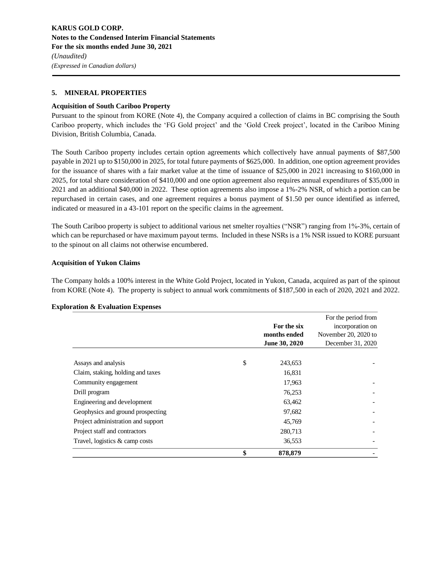### **5. MINERAL PROPERTIES**

### **Acquisition of South Cariboo Property**

Pursuant to the spinout from KORE (Note 4), the Company acquired a collection of claims in BC comprising the South Cariboo property, which includes the 'FG Gold project' and the 'Gold Creek project', located in the Cariboo Mining Division, British Columbia, Canada.

The South Cariboo property includes certain option agreements which collectively have annual payments of \$87,500 payable in 2021 up to \$150,000 in 2025, for total future payments of \$625,000. In addition, one option agreement provides for the issuance of shares with a fair market value at the time of issuance of \$25,000 in 2021 increasing to \$160,000 in 2025, for total share consideration of \$410,000 and one option agreement also requires annual expenditures of \$35,000 in 2021 and an additional \$40,000 in 2022. These option agreements also impose a 1%-2% NSR, of which a portion can be repurchased in certain cases, and one agreement requires a bonus payment of \$1.50 per ounce identified as inferred, indicated or measured in a 43-101 report on the specific claims in the agreement.

The South Cariboo property is subject to additional various net smelter royalties ("NSR") ranging from 1%-3%, certain of which can be repurchased or have maximum payout terms. Included in these NSRs is a 1% NSR issued to KORE pursuant to the spinout on all claims not otherwise encumbered.

### **Acquisition of Yukon Claims**

The Company holds a 100% interest in the White Gold Project, located in Yukon, Canada, acquired as part of the spinout from KORE (Note 4). The property is subject to annual work commitments of \$187,500 in each of 2020, 2021 and 2022.

### **Exploration & Evaluation Expenses**

|                                    | For the six   | For the period from<br>incorporation on |
|------------------------------------|---------------|-----------------------------------------|
|                                    | months ended  | November 20, 2020 to                    |
|                                    | June 30, 2020 | December 31, 2020                       |
|                                    |               |                                         |
| Assays and analysis                | \$<br>243,653 |                                         |
| Claim, staking, holding and taxes  | 16,831        |                                         |
| Community engagement               | 17,963        |                                         |
| Drill program                      | 76,253        |                                         |
| Engineering and development        | 63,462        |                                         |
| Geophysics and ground prospecting  | 97,682        |                                         |
| Project administration and support | 45,769        |                                         |
| Project staff and contractors      | 280,713       |                                         |
| Travel, logistics & camp costs     | 36,553        |                                         |
|                                    | \$<br>878,879 |                                         |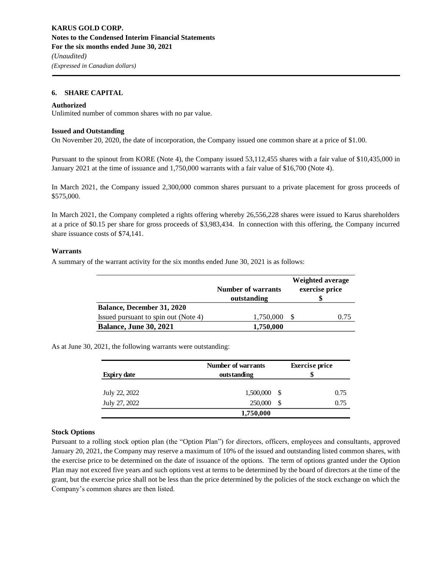### **6. SHARE CAPITAL**

#### **Authorized**

Unlimited number of common shares with no par value.

#### **Issued and Outstanding**

On November 20, 2020, the date of incorporation, the Company issued one common share at a price of \$1.00.

Pursuant to the spinout from KORE (Note 4), the Company issued 53,112,455 shares with a fair value of \$10,435,000 in January 2021 at the time of issuance and 1,750,000 warrants with a fair value of \$16,700 (Note 4).

In March 2021, the Company issued 2,300,000 common shares pursuant to a private placement for gross proceeds of \$575,000.

In March 2021, the Company completed a rights offering whereby 26,556,228 shares were issued to Karus shareholders at a price of \$0.15 per share for gross proceeds of \$3,983,434. In connection with this offering, the Company incurred share issuance costs of \$74,141.

#### **Warrants**

A summary of the warrant activity for the six months ended June 30, 2021 is as follows:

|                                      |                           | Weighted average |
|--------------------------------------|---------------------------|------------------|
|                                      | <b>Number of warrants</b> | exercise price   |
|                                      | outstanding               |                  |
| <b>Balance, December 31, 2020</b>    |                           |                  |
| Issued pursuant to spin out (Note 4) | 1,750,000                 | 0.75             |
| <b>Balance, June 30, 2021</b>        | 1,750,000                 |                  |

As at June 30, 2021, the following warrants were outstanding:

| <b>Expiry date</b> | Number of warrants<br>outstanding |    |      |
|--------------------|-----------------------------------|----|------|
| July 22, 2022      | $1,500,000$ \$                    |    | 0.75 |
| July 27, 2022      | 250,000                           | S. | 0.75 |
|                    | 1,750,000                         |    |      |

### **Stock Options**

Pursuant to a rolling stock option plan (the "Option Plan") for directors, officers, employees and consultants, approved January 20, 2021, the Company may reserve a maximum of 10% of the issued and outstanding listed common shares, with the exercise price to be determined on the date of issuance of the options. The term of options granted under the Option Plan may not exceed five years and such options vest at terms to be determined by the board of directors at the time of the grant, but the exercise price shall not be less than the price determined by the policies of the stock exchange on which the Company's common shares are then listed.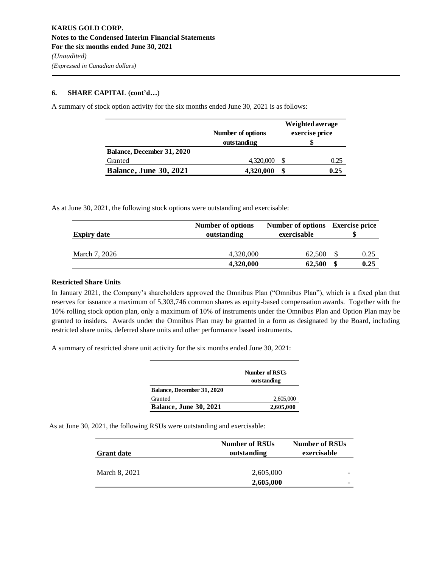### **6. SHARE CAPITAL (cont'd…)**

A summary of stock option activity for the six months ended June 30, 2021 is as follows:

|                                   |                   | Weighted average |                |  |
|-----------------------------------|-------------------|------------------|----------------|--|
|                                   | Number of options |                  | exercise price |  |
|                                   | outstanding       |                  |                |  |
| <b>Balance, December 31, 2020</b> |                   |                  |                |  |
| Granted                           | 4,320,000         |                  | 0.25           |  |
| <b>Balance, June 30, 2021</b>     | 4,320,000         | \$               | 0.25           |  |

As at June 30, 2021, the following stock options were outstanding and exercisable:

| <b>Expiry date</b> | Number of options<br>outstanding | Number of options Exercise price<br>exercisable |      |      |
|--------------------|----------------------------------|-------------------------------------------------|------|------|
|                    |                                  |                                                 |      |      |
| March 7, 2026      | 4,320,000                        | 62.500                                          | - \$ | 0.25 |
|                    | 4,320,000                        | 62,500                                          | \$   | 0.25 |

### **Restricted Share Units**

In January 2021, the Company's shareholders approved the Omnibus Plan ("Omnibus Plan"), which is a fixed plan that reserves for issuance a maximum of 5,303,746 common shares as equity-based compensation awards. Together with the 10% rolling stock option plan, only a maximum of 10% of instruments under the Omnibus Plan and Option Plan may be granted to insiders. Awards under the Omnibus Plan may be granted in a form as designated by the Board, including restricted share units, deferred share units and other performance based instruments.

A summary of restricted share unit activity for the six months ended June 30, 2021:

|                               | Number of RSUs<br>outstanding |
|-------------------------------|-------------------------------|
| Balance, December 31, 2020    |                               |
| Granted                       | 2,605,000                     |
| <b>Balance, June 30, 2021</b> | 2,605,000                     |

As at June 30, 2021, the following RSUs were outstanding and exercisable:

| <b>Grant date</b> | <b>Number of RSUs</b><br>outstanding | <b>Number of RSUs</b><br>exercisable |
|-------------------|--------------------------------------|--------------------------------------|
|                   |                                      |                                      |
| March 8, 2021     | 2,605,000                            |                                      |
|                   | 2,605,000                            |                                      |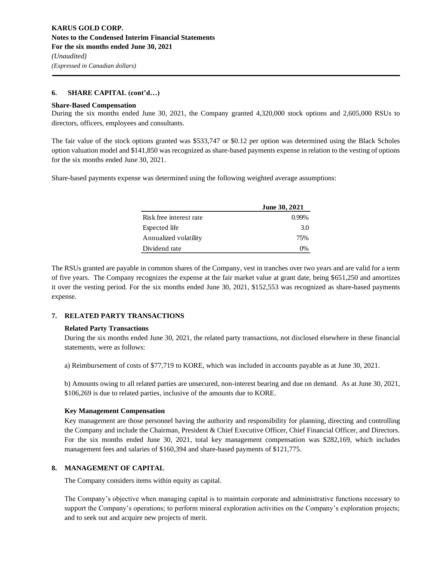### **6. SHARE CAPITAL (cont'd…)**

#### **Share-Based Compensation**

During the six months ended June 30, 2021, the Company granted 4,320,000 stock options and 2,605,000 RSUs to directors, officers, employees and consultants.

The fair value of the stock options granted was \$533,747 or \$0.12 per option was determined using the Black Scholes option valuation model and \$141,850 was recognized as share-based payments expense in relation to the vesting of options for the six months ended June 30, 2021.

Share-based payments expense was determined using the following weighted average assumptions:

|                         | <b>June 30, 2021</b> |
|-------------------------|----------------------|
| Risk free interest rate | $0.99\%$             |
| Expected life           | 3.0                  |
| Annualized volatility   | 75%                  |
| Dividend rate           |                      |

The RSUs granted are payable in common shares of the Company, vest in tranches over two years and are valid for a term of five years. The Company recognizes the expense at the fair market value at grant date, being \$651,250 and amortizes it over the vesting period. For the six months ended June 30, 2021, \$152,553 was recognized as share-based payments expense.

### **7. RELATED PARTY TRANSACTIONS**

### **Related Party Transactions**

During the six months ended June 30, 2021, the related party transactions, not disclosed elsewhere in these financial statements, were as follows:

a) Reimbursement of costs of \$77,719 to KORE, which was included in accounts payable as at June 30, 2021.

b) Amounts owing to all related parties are unsecured, non-interest bearing and due on demand. As at June 30, 2021, \$106,269 is due to related parties, inclusive of the amounts due to KORE.

### **Key Management Compensation**

Key management are those personnel having the authority and responsibility for planning, directing and controlling the Company and include the Chairman, President & Chief Executive Officer, Chief Financial Officer, and Directors. For the six months ended June 30, 2021, total key management compensation was \$282,169, which includes management fees and salaries of \$160,394 and share-based payments of \$121,775.

### **8. MANAGEMENT OF CAPITAL**

The Company considers items within equity as capital.

The Company's objective when managing capital is to maintain corporate and administrative functions necessary to support the Company's operations; to perform mineral exploration activities on the Company's exploration projects; and to seek out and acquire new projects of merit.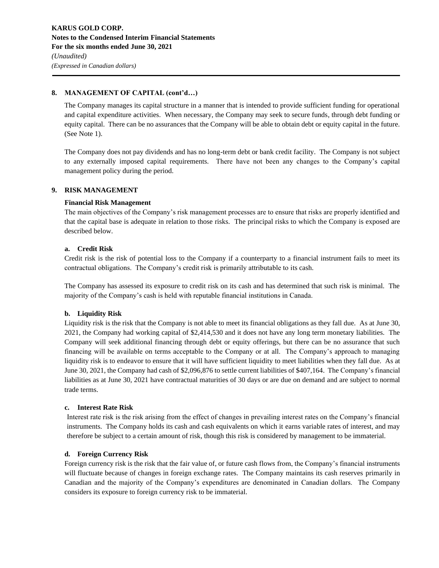### **8. MANAGEMENT OF CAPITAL (cont'd…)**

The Company manages its capital structure in a manner that is intended to provide sufficient funding for operational and capital expenditure activities. When necessary, the Company may seek to secure funds, through debt funding or equity capital. There can be no assurances that the Company will be able to obtain debt or equity capital in the future. (See Note 1).

The Company does not pay dividends and has no long-term debt or bank credit facility. The Company is not subject to any externally imposed capital requirements. There have not been any changes to the Company's capital management policy during the period.

### **9. RISK MANAGEMENT**

### **Financial Risk Management**

The main objectives of the Company's risk management processes are to ensure that risks are properly identified and that the capital base is adequate in relation to those risks. The principal risks to which the Company is exposed are described below.

### **a. Credit Risk**

Credit risk is the risk of potential loss to the Company if a counterparty to a financial instrument fails to meet its contractual obligations. The Company's credit risk is primarily attributable to its cash.

The Company has assessed its exposure to credit risk on its cash and has determined that such risk is minimal. The majority of the Company's cash is held with reputable financial institutions in Canada.

### **b. Liquidity Risk**

Liquidity risk is the risk that the Company is not able to meet its financial obligations as they fall due. As at June 30, 2021, the Company had working capital of \$2,414,530 and it does not have any long term monetary liabilities. The Company will seek additional financing through debt or equity offerings, but there can be no assurance that such financing will be available on terms acceptable to the Company or at all. The Company's approach to managing liquidity risk is to endeavor to ensure that it will have sufficient liquidity to meet liabilities when they fall due. As at June 30, 2021, the Company had cash of \$2,096,876 to settle current liabilities of \$407,164. The Company's financial liabilities as at June 30, 2021 have contractual maturities of 30 days or are due on demand and are subject to normal trade terms.

### **c. Interest Rate Risk**

Interest rate risk is the risk arising from the effect of changes in prevailing interest rates on the Company's financial instruments. The Company holds its cash and cash equivalents on which it earns variable rates of interest, and may therefore be subject to a certain amount of risk, though this risk is considered by management to be immaterial.

### **d. Foreign Currency Risk**

Foreign currency risk is the risk that the fair value of, or future cash flows from, the Company's financial instruments will fluctuate because of changes in foreign exchange rates. The Company maintains its cash reserves primarily in Canadian and the majority of the Company's expenditures are denominated in Canadian dollars. The Company considers its exposure to foreign currency risk to be immaterial.